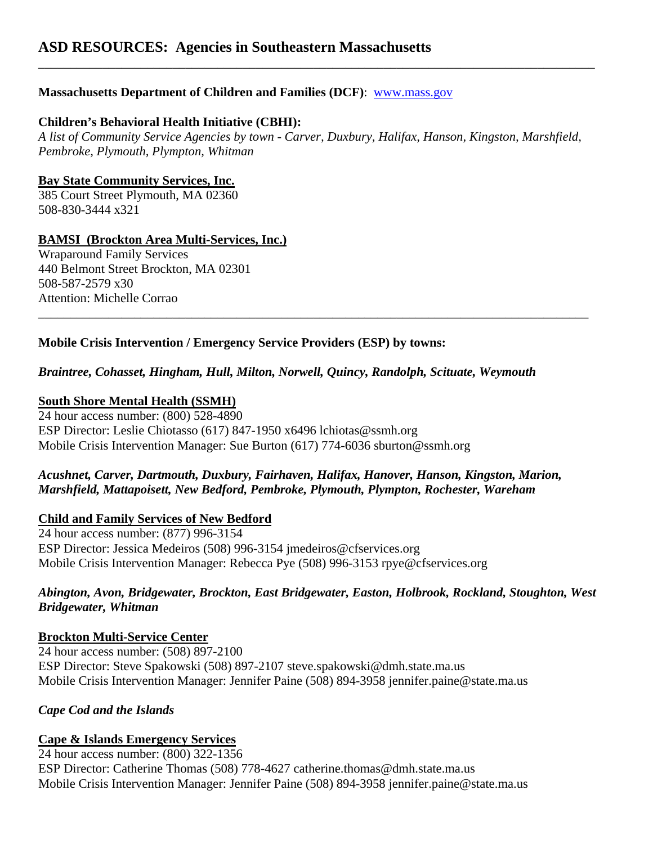# **Massachusetts Department of Children and Families (DCF)**: [www.mass.gov](http://www.mass.gov/)

### **Children's Behavioral Health Initiative (CBHI):**

*A list of Community Service Agencies by town - Carver, Duxbury, Halifax, Hanson, Kingston, Marshfield, Pembroke, Plymouth, Plympton, Whitman* 

\_\_\_\_\_\_\_\_\_\_\_\_\_\_\_\_\_\_\_\_\_\_\_\_\_\_\_\_\_\_\_\_\_\_\_\_\_\_\_\_\_\_\_\_\_\_\_\_\_\_\_\_\_\_\_\_\_\_\_\_\_\_\_\_\_\_\_\_\_\_\_\_\_\_\_\_\_\_\_\_\_\_\_\_\_\_

\_\_\_\_\_\_\_\_\_\_\_\_\_\_\_\_\_\_\_\_\_\_\_\_\_\_\_\_\_\_\_\_\_\_\_\_\_\_\_\_\_\_\_\_\_\_\_\_\_\_\_\_\_\_\_\_\_\_\_\_\_\_\_\_\_\_\_\_\_\_\_\_\_\_\_\_\_\_\_\_\_\_\_\_\_\_\_

### **Bay State Community Services, Inc.**

385 Court Street Plymouth, MA 02360 508-830-3444 x321

#### **BAMSI (Brockton Area Multi-Services, Inc.)**

Wraparound Family Services 440 Belmont Street Brockton, MA 02301 508-587-2579 x30 Attention: Michelle Corrao

### **Mobile Crisis Intervention / Emergency Service Providers (ESP) by towns:**

### *Braintree, Cohasset, Hingham, Hull, Milton, Norwell, Quincy, Randolph, Scituate, Weymouth*

### **South Shore Mental Health (SSMH)**

24 hour access number: (800) 528-4890 ESP Director: Leslie Chiotasso (617) 847-1950 x6496 lchiotas@ssmh.org Mobile Crisis Intervention Manager: Sue Burton (617) 774-6036 sburton@ssmh.org

### *Acushnet, Carver, Dartmouth, Duxbury, Fairhaven, Halifax, Hanover, Hanson, Kingston, Marion, Marshfield, Mattapoisett, New Bedford, Pembroke, Plymouth, Plympton, Rochester, Wareham*

### **Child and Family Services of New Bedford**

24 hour access number: (877) 996-3154 ESP Director: Jessica Medeiros (508) 996-3154 jmedeiros@cfservices.org Mobile Crisis Intervention Manager: Rebecca Pye (508) 996-3153 rpye@cfservices.org

### *Abington, Avon, Bridgewater, Brockton, East Bridgewater, Easton, Holbrook, Rockland, Stoughton, West Bridgewater, Whitman*

### **Brockton Multi-Service Center**

24 hour access number: (508) 897-2100 ESP Director: Steve Spakowski (508) 897-2107 steve.spakowski@dmh.state.ma.us Mobile Crisis Intervention Manager: Jennifer Paine (508) 894-3958 jennifer.paine@state.ma.us

### *Cape Cod and the Islands*

### **Cape & Islands Emergency Services**

24 hour access number: (800) 322-1356

ESP Director: Catherine Thomas (508) 778-4627 catherine.thomas@dmh.state.ma.us Mobile Crisis Intervention Manager: Jennifer Paine (508) 894-3958 jennifer.paine@state.ma.us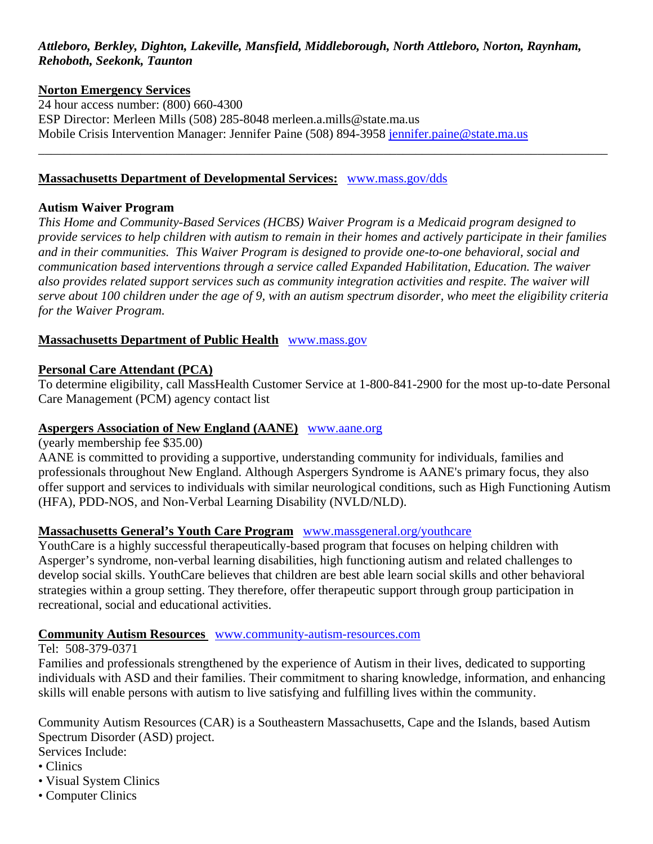# *Attleboro, Berkley, Dighton, Lakeville, Mansfield, Middleborough, North Attleboro, Norton, Raynham, Rehoboth, Seekonk, Taunton*

#### **Norton Emergency Services**

24 hour access number: (800) 660-4300 ESP Director: Merleen Mills (508) 285-8048 merleen.a.mills@state.ma.us Mobile Crisis Intervention Manager: Jennifer Paine (508) 894-3958 [jennifer.paine@state.ma.us](mailto:jennifer.paine@state.ma.us) \_\_\_\_\_\_\_\_\_\_\_\_\_\_\_\_\_\_\_\_\_\_\_\_\_\_\_\_\_\_\_\_\_\_\_\_\_\_\_\_\_\_\_\_\_\_\_\_\_\_\_\_\_\_\_\_\_\_\_\_\_\_\_\_\_\_\_\_\_\_\_\_\_\_\_\_\_\_\_\_\_\_\_\_\_\_\_\_\_

#### **Massachusetts Department of Developmental Services:** [www.mass.gov/dds](http://www.mass.gov/dds)

#### **Autism Waiver Program**

*This Home and Community-Based Services (HCBS) Waiver Program is a Medicaid program designed to provide services to help children with autism to remain in their homes and actively participate in their families and in their communities. This Waiver Program is designed to provide one-to-one behavioral, social and communication based interventions through a service called Expanded Habilitation, Education. The waiver also provides related support services such as community integration activities and respite. The waiver will serve about 100 children under the age of 9, with an autism spectrum disorder, who meet the eligibility criteria for the Waiver Program.* 

#### **Massachusetts Department of Public Health** [www.mass.gov](http://www.mass.gov/)

#### **Personal Care Attendant (PCA)**

To determine eligibility, call MassHealth Customer Service at 1-800-841-2900 for the most up-to-date Personal Care Management (PCM) agency contact list

### **Aspergers Association of New England (AANE)** [www.aane.org](http://www.aane.org/)

(yearly membership fee \$35.00)

AANE is committed to providing a supportive, understanding community for individuals, families and professionals throughout New England. Although Aspergers Syndrome is AANE's primary focus, they also offer support and services to individuals with similar neurological conditions, such as High Functioning Autism (HFA), PDD-NOS, and Non-Verbal Learning Disability (NVLD/NLD).

### **Massachusetts General's Youth Care Program** [www.massgeneral.org/youthcare](http://www.massgeneral.org/youthcare)

YouthCare is a highly successful therapeutically-based program that focuses on helping children with Asperger's syndrome, non-verbal learning disabilities, high functioning autism and related challenges to develop social skills. YouthCare believes that children are best able learn social skills and other behavioral strategies within a group setting. They therefore, offer therapeutic support through group participation in recreational, social and educational activities.

#### **Community Autism Resources** [www.community-autism-resources.com](http://www.community-autism-resources.com/)

#### Tel: 508-379-0371

Families and professionals strengthened by the experience of Autism in their lives, dedicated to supporting individuals with ASD and their families. Their commitment to sharing knowledge, information, and enhancing skills will enable persons with autism to live satisfying and fulfilling lives within the community.

Community Autism Resources (CAR) is a Southeastern Massachusetts, Cape and the Islands, based Autism Spectrum Disorder (ASD) project.

Services Include:

- Clinics
- Visual System Clinics
- Computer Clinics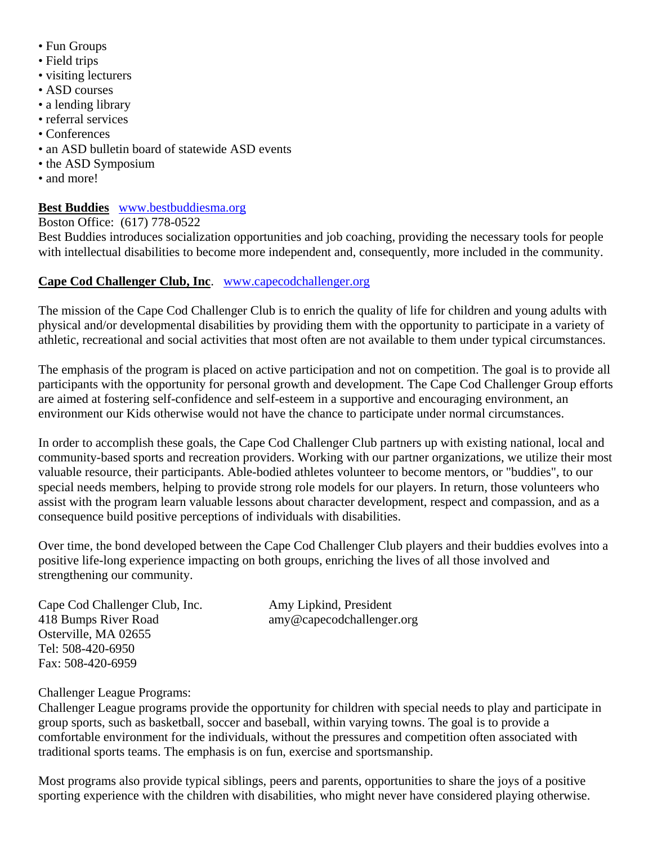- Fun Groups
- Field trips
- visiting lecturers
- ASD courses
- a lending library
- referral services
- Conferences
- an ASD bulletin board of statewide ASD events
- the ASD Symposium
- and more!

# **Best Buddies** [www.bestbuddiesma.org](http://www.bestbuddiesma.org/)

Boston Office: (617) 778-0522

Best Buddies introduces socialization opportunities and job coaching, providing the necessary tools for people with intellectual disabilities to become more independent and, consequently, more included in the community.

# **Cape Cod Challenger Club, Inc**. [www.capecodchallenger.org](http://www.capecodchallenger.org/)

The mission of the Cape Cod Challenger Club is to enrich the quality of life for children and young adults with physical and/or developmental disabilities by providing them with the opportunity to participate in a variety of athletic, recreational and social activities that most often are not available to them under typical circumstances.

The emphasis of the program is placed on active participation and not on competition. The goal is to provide all participants with the opportunity for personal growth and development. The Cape Cod Challenger Group efforts are aimed at fostering self-confidence and self-esteem in a supportive and encouraging environment, an environment our Kids otherwise would not have the chance to participate under normal circumstances.

In order to accomplish these goals, the Cape Cod Challenger Club partners up with existing national, local and community-based sports and recreation providers. Working with our partner organizations, we utilize their most valuable resource, their participants. Able-bodied athletes volunteer to become mentors, or "buddies", to our special needs members, helping to provide strong role models for our players. In return, those volunteers who assist with the program learn valuable lessons about character development, respect and compassion, and as a consequence build positive perceptions of individuals with disabilities.

Over time, the bond developed between the Cape Cod Challenger Club players and their buddies evolves into a positive life-long experience impacting on both groups, enriching the lives of all those involved and strengthening our community.

Cape Cod Challenger Club, Inc. Amy Lipkind, President 418 Bumps River Road amy@capecodchallenger.org Osterville, MA 02655 Tel: 508-420-6950 Fax: 508-420-6959

### Challenger League Programs:

Challenger League programs provide the opportunity for children with special needs to play and participate in group sports, such as basketball, soccer and baseball, within varying towns. The goal is to provide a comfortable environment for the individuals, without the pressures and competition often associated with traditional sports teams. The emphasis is on fun, exercise and sportsmanship.

Most programs also provide typical siblings, peers and parents, opportunities to share the joys of a positive sporting experience with the children with disabilities, who might never have considered playing otherwise.